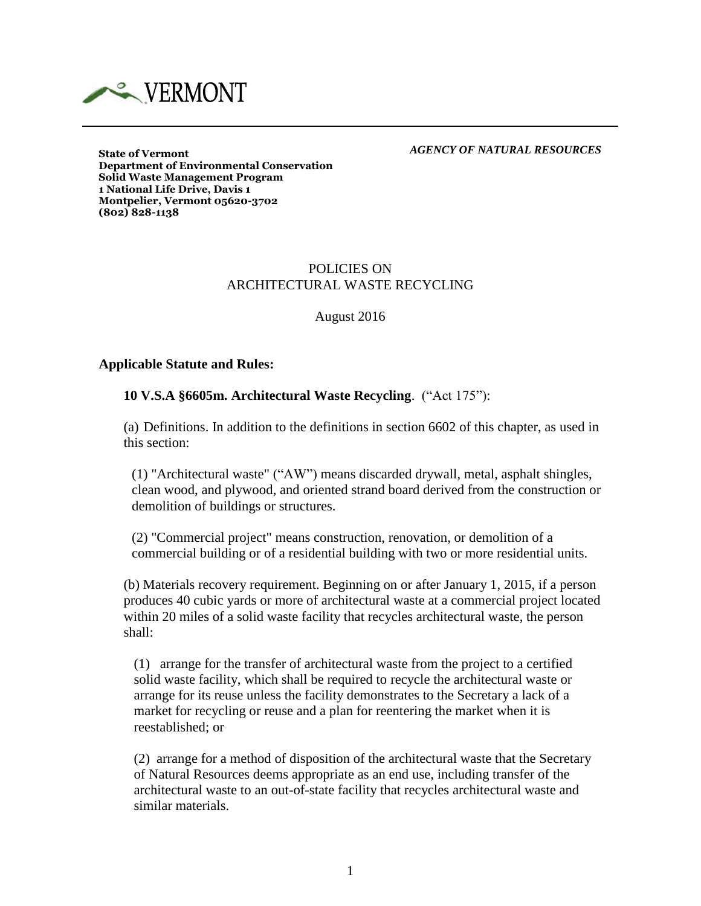

#### *AGENCY OF NATURAL RESOURCES*

**State of Vermont Department of Environmental Conservation Solid Waste Management Program 1 National Life Drive, Davis 1 Montpelier, Vermont 05620-3702 (802) 828-1138**

## POLICIES ON ARCHITECTURAL WASTE RECYCLING

August 2016

#### **Applicable Statute and Rules:**

#### **10 V.S.A §6605m. Architectural Waste Recycling**. ("Act 175"):

(a) Definitions. In addition to the definitions in section 6602 of this chapter, as used in this section:

(1) "Architectural waste" ("AW") means discarded drywall, metal, asphalt shingles, clean wood, and plywood, and oriented strand board derived from the construction or demolition of buildings or structures.

(2) "Commercial project" means construction, renovation, or demolition of a commercial building or of a residential building with two or more residential units.

(b) Materials recovery requirement. Beginning on or after January 1, 2015, if a person produces 40 cubic yards or more of architectural waste at a commercial project located within 20 miles of a solid waste facility that recycles architectural waste, the person shall:

(1) arrange for the transfer of architectural waste from the project to a certified solid waste facility, which shall be required to recycle the architectural waste or arrange for its reuse unless the facility demonstrates to the Secretary a lack of a market for recycling or reuse and a plan for reentering the market when it is reestablished; or

(2) arrange for a method of disposition of the architectural waste that the Secretary of Natural Resources deems appropriate as an end use, including transfer of the architectural waste to an out-of-state facility that recycles architectural waste and similar materials.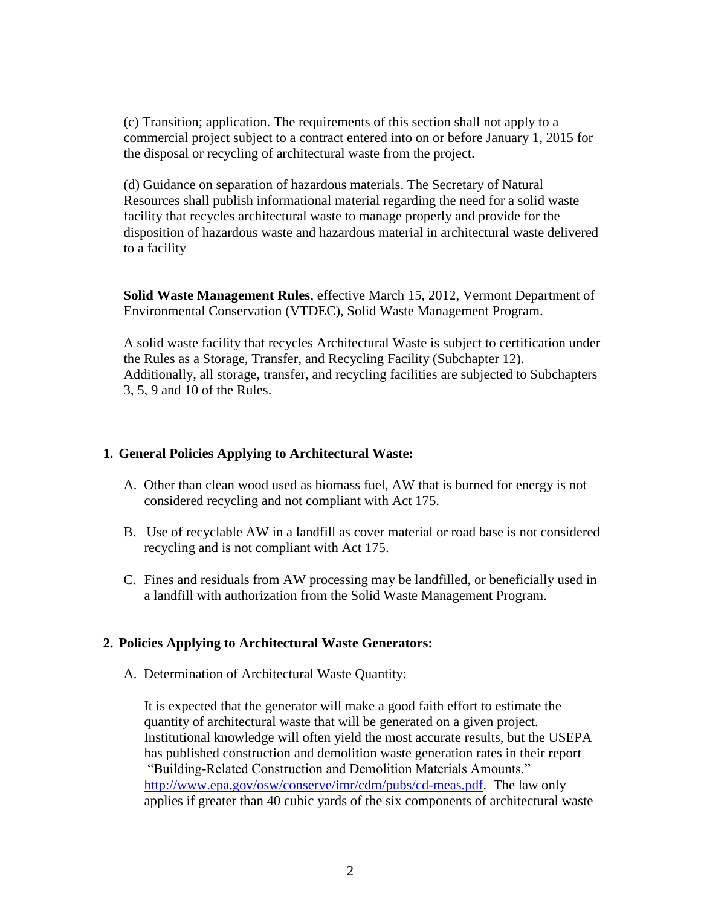(c) Transition; application. The requirements of this section shall not apply to a commercial project subject to a contract entered into on or before January 1, 2015 for the disposal or recycling of architectural waste from the project.

(d) Guidance on separation of hazardous materials. The Secretary of Natural Resources shall publish informational material regarding the need for a solid waste facility that recycles architectural waste to manage properly and provide for the disposition of hazardous waste and hazardous material in architectural waste delivered to a facility

**Solid Waste Management Rules**, effective March 15, 2012, Vermont Department of Environmental Conservation (VTDEC), Solid Waste Management Program.

A solid waste facility that recycles Architectural Waste is subject to certification under the Rules as a Storage, Transfer, and Recycling Facility (Subchapter 12). Additionally, all storage, transfer, and recycling facilities are subjected to Subchapters 3, 5, 9 and 10 of the Rules.

## **1. General Policies Applying to Architectural Waste:**

- A. Other than clean wood used as biomass fuel, AW that is burned for energy is not considered recycling and not compliant with Act 175.
- B. Use of recyclable AW in a landfill as cover material or road base is not considered recycling and is not compliant with Act 175.
- C. Fines and residuals from AW processing may be landfilled, or beneficially used in a landfill with authorization from the Solid Waste Management Program.

#### **2. Policies Applying to Architectural Waste Generators:**

A. Determination of Architectural Waste Quantity:

It is expected that the generator will make a good faith effort to estimate the quantity of architectural waste that will be generated on a given project. Institutional knowledge will often yield the most accurate results, but the USEPA has published construction and demolition waste generation rates in their report "Building-Related Construction and Demolition Materials Amounts." [http://www.epa.gov/osw/conserve/imr/cdm/pubs/cd-meas.pdf.](http://www.epa.gov/osw/conserve/imr/cdm/pubs/cd-meas.pdf) The law only applies if greater than 40 cubic yards of the six components of architectural waste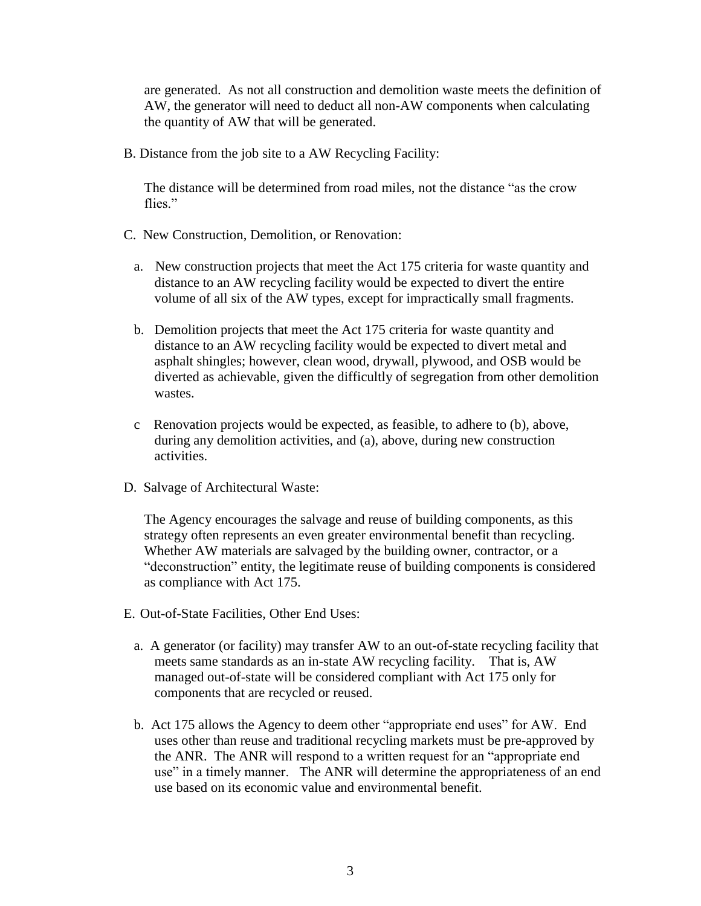are generated. As not all construction and demolition waste meets the definition of AW, the generator will need to deduct all non-AW components when calculating the quantity of AW that will be generated.

B. Distance from the job site to a AW Recycling Facility:

The distance will be determined from road miles, not the distance "as the crow flies."

- C. New Construction, Demolition, or Renovation:
	- a. New construction projects that meet the Act 175 criteria for waste quantity and distance to an AW recycling facility would be expected to divert the entire volume of all six of the AW types, except for impractically small fragments.
	- b. Demolition projects that meet the Act 175 criteria for waste quantity and distance to an AW recycling facility would be expected to divert metal and asphalt shingles; however, clean wood, drywall, plywood, and OSB would be diverted as achievable, given the difficultly of segregation from other demolition wastes.
	- c Renovation projects would be expected, as feasible, to adhere to (b), above, during any demolition activities, and (a), above, during new construction activities.
- D. Salvage of Architectural Waste:

The Agency encourages the salvage and reuse of building components, as this strategy often represents an even greater environmental benefit than recycling. Whether AW materials are salvaged by the building owner, contractor, or a "deconstruction" entity, the legitimate reuse of building components is considered as compliance with Act 175.

- E. Out-of-State Facilities, Other End Uses:
	- a. A generator (or facility) may transfer AW to an out-of-state recycling facility that meets same standards as an in-state AW recycling facility. That is, AW managed out-of-state will be considered compliant with Act 175 only for components that are recycled or reused.
	- b. Act 175 allows the Agency to deem other "appropriate end uses" for AW. End uses other than reuse and traditional recycling markets must be pre-approved by the ANR. The ANR will respond to a written request for an "appropriate end use" in a timely manner. The ANR will determine the appropriateness of an end use based on its economic value and environmental benefit.